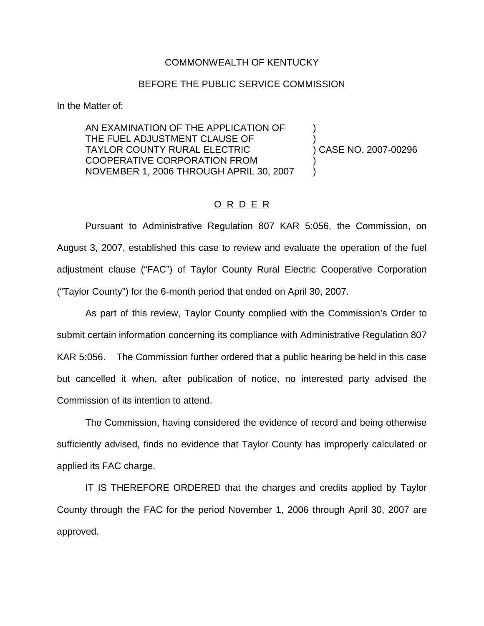## COMMONWEALTH OF KENTUCKY

## BEFORE THE PUBLIC SERVICE COMMISSION

In the Matter of:

AN EXAMINATION OF THE APPLICATION OF ) THE FUEL ADJUSTMENT CLAUSE OF TAYLOR COUNTY RURAL ELECTRIC ) CASE NO. 2007-00296 COOPERATIVE CORPORATION FROM ) NOVEMBER 1, 2006 THROUGH APRIL 30, 2007 )

## O R D E R

Pursuant to Administrative Regulation 807 KAR 5:056, the Commission, on August 3, 2007, established this case to review and evaluate the operation of the fuel adjustment clause ("FAC") of Taylor County Rural Electric Cooperative Corporation ("Taylor County") for the 6-month period that ended on April 30, 2007.

As part of this review, Taylor County complied with the Commission's Order to submit certain information concerning its compliance with Administrative Regulation 807 KAR 5:056. The Commission further ordered that a public hearing be held in this case but cancelled it when, after publication of notice, no interested party advised the Commission of its intention to attend.

The Commission, having considered the evidence of record and being otherwise sufficiently advised, finds no evidence that Taylor County has improperly calculated or applied its FAC charge.

IT IS THEREFORE ORDERED that the charges and credits applied by Taylor County through the FAC for the period November 1, 2006 through April 30, 2007 are approved.